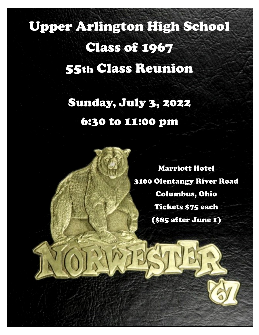# Upper Arlington High School Class of 1967 55th Class Reunion

# Sunday, July 3, 2022 6:30 to 11:00 pm

Marriott Hotel 3100 Olentangy River Road Columbus, Ohio Tickets \$75 each (\$85 after June 1)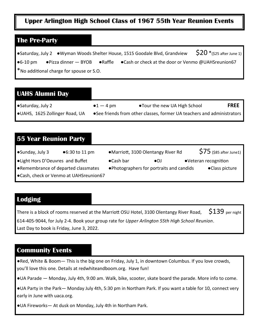#### **Upper Arlington High School Class of 1967 55th Year Reunion Events**

#### **The Pre-Party**

●Saturday, July 2 ●Wyman Woods Shelter House, 1515 Goodale Blvd, Grandview  $$20$  \*(\$25 after June 1) ●6-10 pm ●Pizza dinner — BYOB ●Raffle ●Cash or check at the door or Venmo @UAHSreunion67 \*No additional charge for spouse or S.O.

#### **UAHS Alumni Day**

| ' •Saturday, July 2            | $\bullet 1 - 4 \text{ pm}$ | ● Tour the new UA High School                                           | <b>FREE</b> |
|--------------------------------|----------------------------|-------------------------------------------------------------------------|-------------|
| ●UAHS, 1625 Zollinger Road, UA |                            | • See friends from other classes, former UA teachers and administrators |             |

#### **55 Year Reunion Party**

| ∫ •Sunday, July 3                   | $•6:30$ to 11 pm                       |           | •Marriott, 3100 Olentangy River Rd        | $$75$ (\$85 after June1) |
|-------------------------------------|----------------------------------------|-----------|-------------------------------------------|--------------------------|
| . Light Hors D'Oeuvres and Buffet   |                                        | •Cash bar | $\bullet$ DJ                              | •Veteran recognition     |
| ●Remembrance of departed classmates |                                        |           | • Photographers for portraits and candids | •Class picture           |
|                                     | •Cash, check or Venmo at UAHSreunion67 |           |                                           |                          |

#### **Lodging**

There is a block of rooms reserved at the Marriott OSU Hotel, 3100 Olentangy River Road,  $\$139$  per night 614-405-9044, for July 2-4. Book your group rate for *Upper Arlington 55th High School Reunion*. Last Day to book is Friday, June 3, 2022.

#### **Community Events**

●Red, White & Boom— This is the big one on Friday, July 1, in downtown Columbus. If you love crowds, you'll love this one. Details at redwhiteandboom.org. Have fun!

●UA Parade — Monday, July 4th, 9:00 am. Walk, bike, scooter, skate board the parade. More info to come.

●UA Party in the Park— Monday July 4th, 5:30 pm in Northam Park. If you want a table for 10, connect very early in June with uaca.org.

●UA Fireworks— At dusk on Monday, July 4th in Northam Park.